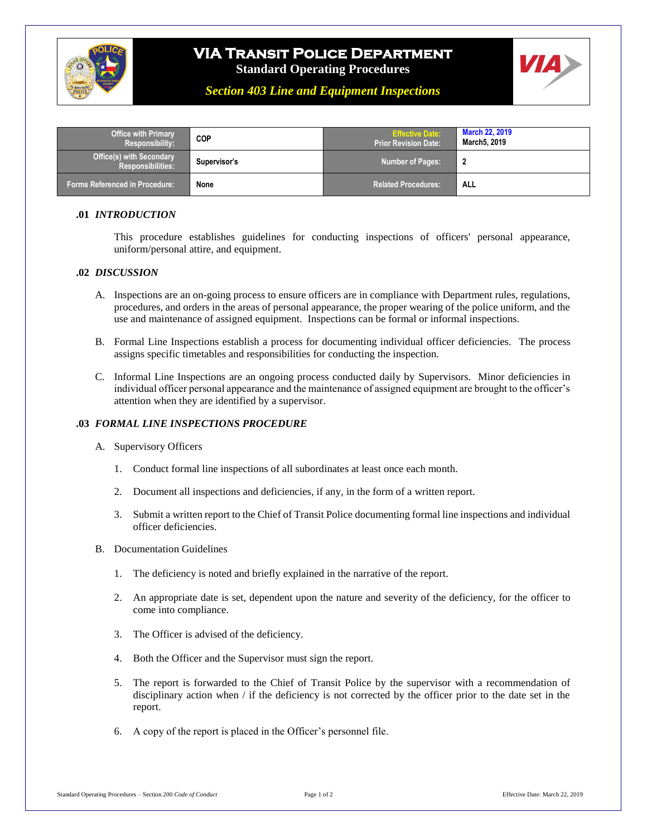

# **VIA Transit Police Department**

**Standard Operating Procedures**



*Section 403 Line and Equipment Inspections*

| <b>Office with Primary</b><br>Responsibility:        | COP          | <b>Effective Date:</b><br><b>Prior Revision Date:</b> | <b>March 22, 2019</b><br>March5, 2019 |
|------------------------------------------------------|--------------|-------------------------------------------------------|---------------------------------------|
| Office(s) with Secondary<br><b>Responsibilities:</b> | Supervisor's | <b>Number of Pages:</b>                               |                                       |
| Forms Referenced in Procedure:                       | None         | <b>Related Procedures:</b>                            | <b>ALL</b>                            |

### **.01** *INTRODUCTION*

This procedure establishes guidelines for conducting inspections of officers' personal appearance, uniform/personal attire, and equipment.

#### **.02** *DISCUSSION*

- A. Inspections are an on-going process to ensure officers are in compliance with Department rules, regulations, procedures, and orders in the areas of personal appearance, the proper wearing of the police uniform, and the use and maintenance of assigned equipment. Inspections can be formal or informal inspections.
- B. Formal Line Inspections establish a process for documenting individual officer deficiencies. The process assigns specific timetables and responsibilities for conducting the inspection.
- C. Informal Line Inspections are an ongoing process conducted daily by Supervisors. Minor deficiencies in individual officer personal appearance and the maintenance of assigned equipment are brought to the officer's attention when they are identified by a supervisor.

### **.03** *FORMAL LINE INSPECTIONS PROCEDURE*

- A. Supervisory Officers
	- 1. Conduct formal line inspections of all subordinates at least once each month.
	- 2. Document all inspections and deficiencies, if any, in the form of a written report.
	- 3. Submit a written report to the Chief of Transit Police documenting formal line inspections and individual officer deficiencies.
- B. Documentation Guidelines
	- 1. The deficiency is noted and briefly explained in the narrative of the report.
	- 2. An appropriate date is set, dependent upon the nature and severity of the deficiency, for the officer to come into compliance.
	- 3. The Officer is advised of the deficiency.
	- 4. Both the Officer and the Supervisor must sign the report.
	- 5. The report is forwarded to the Chief of Transit Police by the supervisor with a recommendation of disciplinary action when / if the deficiency is not corrected by the officer prior to the date set in the report.
	- 6. A copy of the report is placed in the Officer's personnel file.